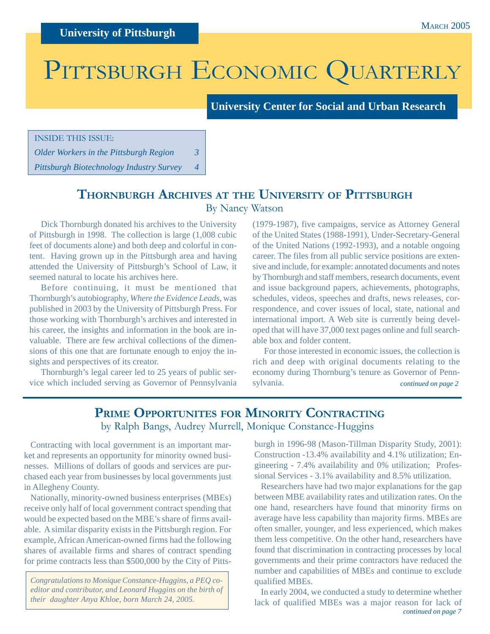# PITTSBURGH ECONOMIC QUARTERLY

**University Center for Social and Urban Research**

INSIDE THIS ISSUE:

*Older Workers in the Pittsburgh Region 3*

*Pittsburgh Biotechnology Industry Survey 4*

# **THORNBURGH ARCHIVES AT THE UNIVERSITY OF PITTSBURGH**

By Nancy Watson

Dick Thornburgh donated his archives to the University of Pittsburgh in 1998. The collection is large (1,008 cubic feet of documents alone) and both deep and colorful in content. Having grown up in the Pittsburgh area and having attended the University of Pittsburgh's School of Law, it seemed natural to locate his archives here.

Before continuing, it must be mentioned that Thornburgh's autobiography, *Where the Evidence Leads*, was published in 2003 by the University of Pittsburgh Press. For those working with Thornburgh's archives and interested in his career, the insights and information in the book are invaluable. There are few archival collections of the dimensions of this one that are fortunate enough to enjoy the insights and perspectives of its creator.

Thornburgh's legal career led to 25 years of public service which included serving as Governor of Pennsylvania

(1979-1987), five campaigns, service as Attorney General of the United States (1988-1991), Under-Secretary-General of the United Nations (1992-1993), and a notable ongoing career. The files from all public service positions are extensive and include, for example: annotated documents and notes by Thornburgh and staff members, research documents, event and issue background papers, achievements, photographs, schedules, videos, speeches and drafts, news releases, correspondence, and cover issues of local, state, national and international import. A Web site is currently being developed that will have 37,000 text pages online and full searchable box and folder content.

*continued on page 2* For those interested in economic issues, the collection is rich and deep with original documents relating to the economy during Thornburg's tenure as Governor of Pennsylvania.

## **PRIME OPPORTUNITES FOR MINORITY CONTRACTING** by Ralph Bangs, Audrey Murrell, Monique Constance-Huggins

Contracting with local government is an important market and represents an opportunity for minority owned businesses. Millions of dollars of goods and services are purchased each year from businesses by local governments just in Allegheny County.

Nationally, minority-owned business enterprises (MBEs) receive only half of local government contract spending that would be expected based on the MBE's share of firms available. A similar disparity exists in the Pittsburgh region. For example, African American-owned firms had the following shares of available firms and shares of contract spending for prime contracts less than \$500,000 by the City of Pitts-

*Congratulations to Monique Constance-Huggins, a PEQ coeditor and contributor, and Leonard Huggins on the birth of their daughter Anya Khloe, born March 24, 2005.*

burgh in 1996-98 (Mason-Tillman Disparity Study, 2001): Construction -13.4% availability and 4.1% utilization; Engineering - 7.4% availability and 0% utilization; Professional Services - 3.1% availability and 8.5% utilization.

Researchers have had two major explanations for the gap between MBE availability rates and utilization rates. On the one hand, researchers have found that minority firms on average have less capability than majority firms. MBEs are often smaller, younger, and less experienced, which makes them less competitive. On the other hand, researchers have found that discrimination in contracting processes by local governments and their prime contractors have reduced the number and capabilities of MBEs and continue to exclude qualified MBEs.

*continued on page 7* In early 2004, we conducted a study to determine whether lack of qualified MBEs was a major reason for lack of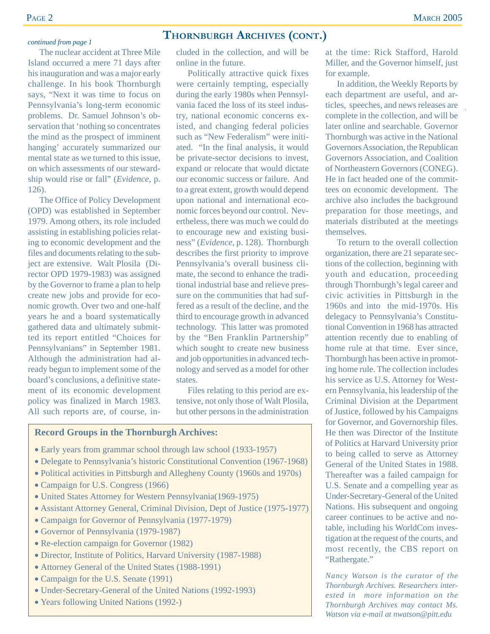#### *continued from page 1*

The nuclear accident at Three Mile Island occurred a mere 71 days after his inauguration and was a major early challenge. In his book Thornburgh says, "Next it was time to focus on Pennsylvania's long-term economic problems. Dr. Samuel Johnson's observation that 'nothing so concentrates the mind as the prospect of imminent hanging' accurately summarized our mental state as we turned to this issue, on which assessments of our stewardship would rise or fall" (*Evidence*, p. 126).

The Office of Policy Development (OPD) was established in September 1979. Among others, its role included assisting in establishing policies relating to economic development and the files and documents relating to the subject are extensive. Walt Plosila (Director OPD 1979-1983) was assigned by the Governor to frame a plan to help create new jobs and provide for economic growth. Over two and one-half years he and a board systematically gathered data and ultimately submitted its report entitled "Choices for Pennsylvanians" in September 1981. Although the administration had already begun to implement some of the board's conclusions, a definitive statement of its economic development policy was finalized in March 1983. All such reports are, of course, in-

#### **THORNBURGH ARCHIVES (CONT.)**

cluded in the collection, and will be online in the future.

Politically attractive quick fixes were certainly tempting, especially during the early 1980s when Pennsylvania faced the loss of its steel industry, national economic concerns existed, and changing federal policies such as "New Federalism" were initiated. "In the final analysis, it would be private-sector decisions to invest, expand or relocate that would dictate our economic success or failure. And to a great extent, growth would depend upon national and international economic forces beyond our control. Nevertheless, there was much we could do to encourage new and existing business" (*Evidence*, p. 128). Thornburgh describes the first priority to improve Pennsylvania's overall business climate, the second to enhance the traditional industrial base and relieve pressure on the communities that had suffered as a result of the decline, and the third to encourage growth in advanced technology. This latter was promoted by the "Ben Franklin Partnership" which sought to create new business and job opportunities in advanced technology and served as a model for other states.

Files relating to this period are extensive, not only those of Walt Plosila, but other persons in the administration

#### **Record Groups in the Thornburgh Archives:**

- Early years from grammar school through law school (1933-1957)
- Delegate to Pennsylvania's historic Constitutional Convention (1967-1968)
- Political activities in Pittsburgh and Allegheny County (1960s and 1970s)
- Campaign for U.S. Congress (1966)
- United States Attorney for Western Pennsylvania(1969-1975)
- Assistant Attorney General, Criminal Division, Dept of Justice (1975-1977)
- Campaign for Governor of Pennsylvania (1977-1979)
- Governor of Pennsylvania (1979-1987)
- Re-election campaign for Governor (1982)
- Director, Institute of Politics, Harvard University (1987-1988)
- Attorney General of the United States (1988-1991)
- Campaign for the U.S. Senate (1991)
- Under-Secretary-General of the United Nations (1992-1993)
- Years following United Nations (1992-)

at the time: Rick Stafford, Harold Miller, and the Governor himself, just for example.

In addition, the Weekly Reports by each department are useful, and articles, speeches, and news releases are complete in the collection, and will be later online and searchable. Governor Thornburgh was active in the National Governors Association, the Republican Governors Association, and Coalition of Northeastern Governors (CONEG). He in fact headed one of the committees on economic development. The archive also includes the background preparation for those meetings, and materials distributed at the meetings themselves.

To return to the overall collection organization, there are 21 separate sections of the collection, beginning with youth and education, proceeding through Thornburgh's legal career and civic activities in Pittsburgh in the 1960s and into the mid-1970s. His delegacy to Pennsylvania's Constitutional Convention in 1968 has attracted attention recently due to enabling of home rule at that time. Ever since, Thornburgh has been active in promoting home rule. The collection includes his service as U.S. Attorney for Western Pennsylvania, his leadership of the Criminal Division at the Department of Justice, followed by his Campaigns for Governor, and Governorship files. He then was Director of the Institute of Politics at Harvard University prior to being called to serve as Attorney General of the United States in 1988. Thereafter was a failed campaign for U.S. Senate and a compelling year as Under-Secretary-General of the United Nations. His subsequent and ongoing career continues to be active and notable, including his WorldCom investigation at the request of the courts, and most recently, the CBS report on "Rathergate."

*Nancy Watson is the curator of the Thornburgh Archives. Researchers interested in more information on the Thornburgh Archives may contact Ms. Watson via e-mail at nwatson@pitt.edu*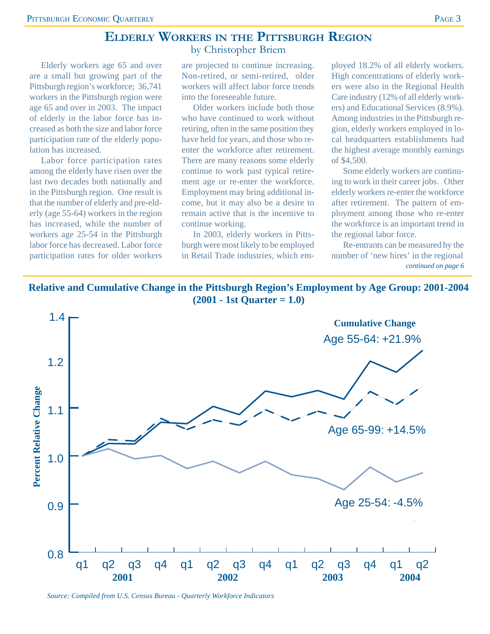### **ELDERLY WORKERS IN THE PITTSBURGH REGION**

by Christopher Briem

Elderly workers age 65 and over are a small but growing part of the Pittsburgh region's workforce; 36,741 workers in the Pittsburgh region were age 65 and over in 2003. The impact of elderly in the labor force has increased as both the size and labor force participation rate of the elderly population has increased.

Labor force participation rates among the elderly have risen over the last two decades both nationally and in the Pittsburgh region. One result is that the number of elderly and pre-elderly (age 55-64) workers in the region has increased, while the number of workers age 25-54 in the Pittsburgh labor force has decreased. Labor force participation rates for older workers

are projected to continue increasing. Non-retired, or semi-retired, older workers will affect labor force trends into the foreseeable future.

Older workers include both those who have continued to work without retiring, often in the same position they have held for years, and those who reenter the workforce after retirement. There are many reasons some elderly continue to work past typical retirement age or re-enter the workforce. Employment may bring additional income, but it may also be a desire to remain active that is the incentive to continue working.

In 2003, elderly workers in Pittsburgh were most likely to be employed in Retail Trade industries, which employed 18.2% of all elderly workers. High concentrations of elderly workers were also in the Regional Health Care industry (12% of all elderly workers) and Educational Services (8.9%). Among industries in the Pittsburgh region, elderly workers employed in local headquarters establishments had the highest average monthly earnings of \$4,500.

Some elderly workers are continuing to work in their career jobs. Other elderly workers re-enter the workforce after retirement. The pattern of employment among those who re-enter the workforce is an important trend in the regional labor force.

Re-entrants can be measured by the number of 'new hires' in the regional *continued on page 6*





*Source: Compiled from U.S. Census Bureau - Quarterly Workforce Indicators*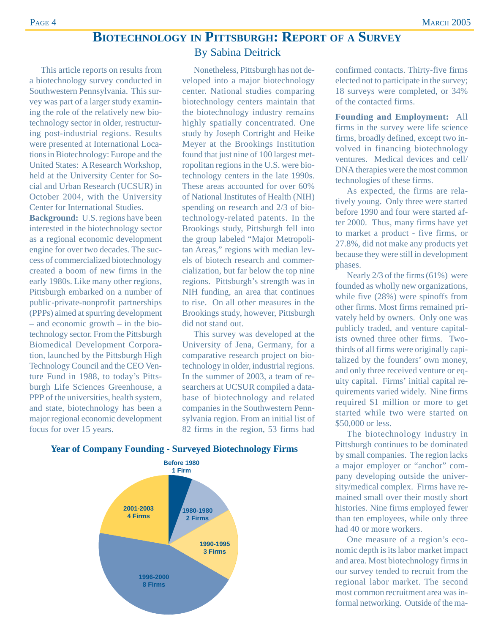# **BIOTECHNOLOGY IN PITTSBURGH: REPORT OF A SURVEY**

This article reports on results from a biotechnology survey conducted in Southwestern Pennsylvania. This survey was part of a larger study examining the role of the relatively new biotechnology sector in older, restructuring post-industrial regions. Results were presented at International Locations in Biotechnology: Europe and the United States: A Research Workshop, held at the University Center for Social and Urban Research (UCSUR) in October 2004, with the University Center for International Studies.

**Background:** U.S. regions have been interested in the biotechnology sector as a regional economic development engine for over two decades. The success of commercialized biotechnology created a boom of new firms in the early 1980s. Like many other regions, Pittsburgh embarked on a number of public-private-nonprofit partnerships (PPPs) aimed at spurring development – and economic growth – in the biotechnology sector. From the Pittsburgh Biomedical Development Corporation, launched by the Pittsburgh High Technology Council and the CEO Venture Fund in 1988, to today's Pittsburgh Life Sciences Greenhouse, a PPP of the universities, health system, and state, biotechnology has been a major regional economic development focus for over 15 years.

## By Sabina Deitrick Nonetheless, Pittsburgh has not developed into a major biotechnology center. National studies comparing

biotechnology centers maintain that the biotechnology industry remains highly spatially concentrated. One study by Joseph Cortright and Heike Meyer at the Brookings Institution found that just nine of 100 largest metropolitan regions in the U.S. were biotechnology centers in the late 1990s. These areas accounted for over 60% of National Institutes of Health (NIH) spending on research and 2/3 of biotechnology-related patents. In the Brookings study, Pittsburgh fell into the group labeled "Major Metropolitan Areas," regions with median levels of biotech research and commercialization, but far below the top nine regions. Pittsburgh's strength was in NIH funding, an area that continues to rise. On all other measures in the Brookings study, however, Pittsburgh did not stand out.

This survey was developed at the University of Jena, Germany, for a comparative research project on biotechnology in older, industrial regions. In the summer of 2003, a team of researchers at UCSUR compiled a database of biotechnology and related companies in the Southwestern Pennsylvania region. From an initial list of 82 firms in the region, 53 firms had

**2001-2003 4 Firms 1996-2000 8 Firms 1990-1995 3 Firms 1980-1980 2 Firms Before 1980 1 Firm**

#### confirmed contacts. Thirty-five firms elected not to participate in the survey; 18 surveys were completed, or 34% of the contacted firms.

**Founding and Employment:** All firms in the survey were life science firms, broadly defined, except two involved in financing biotechnology ventures. Medical devices and cell/ DNA therapies were the most common technologies of these firms.

As expected, the firms are relatively young. Only three were started before 1990 and four were started after 2000. Thus, many firms have yet to market a product - five firms, or 27.8%, did not make any products yet because they were still in development phases.

Nearly 2/3 of the firms (61%) were founded as wholly new organizations, while five (28%) were spinoffs from other firms. Most firms remained privately held by owners. Only one was publicly traded, and venture capitalists owned three other firms. Twothirds of all firms were originally capitalized by the founders' own money, and only three received venture or equity capital. Firms' initial capital requirements varied widely. Nine firms required \$1 million or more to get started while two were started on \$50,000 or less.

The biotechnology industry in Pittsburgh continues to be dominated by small companies. The region lacks a major employer or "anchor" company developing outside the university/medical complex. Firms have remained small over their mostly short histories. Nine firms employed fewer than ten employees, while only three had 40 or more workers.

One measure of a region's economic depth is its labor market impact and area. Most biotechnology firms in our survey tended to recruit from the regional labor market. The second most common recruitment area was informal networking. Outside of the ma-

#### **Year of Company Founding - Surveyed Biotechnology Firms**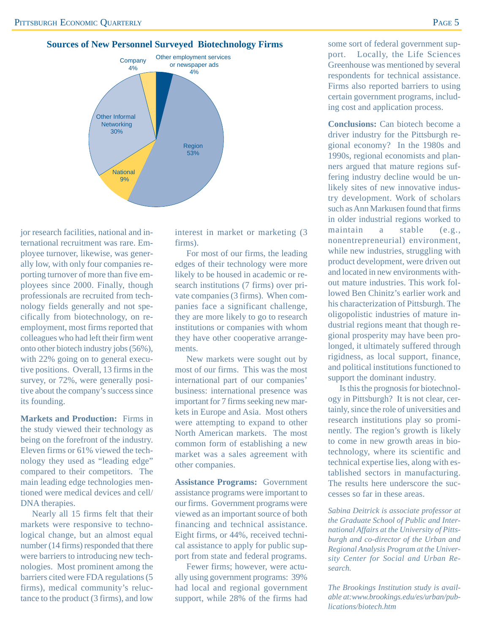

Region 53%

**National** 9%

jor research facilities, national and international recruitment was rare. Employee turnover, likewise, was generally low, with only four companies reporting turnover of more than five employees since 2000. Finally, though professionals are recruited from technology fields generally and not specifically from biotechnology, on reemployment, most firms reported that colleagues who had left their firm went onto other biotech industry jobs (56%), with 22% going on to general executive positions. Overall, 13 firms in the survey, or 72%, were generally positive about the company's success since its founding.

**Markets and Production:** Firms in the study viewed their technology as being on the forefront of the industry. Eleven firms or 61% viewed the technology they used as "leading edge" compared to their competitors. The main leading edge technologies mentioned were medical devices and cell/ DNA therapies.

Nearly all 15 firms felt that their markets were responsive to technological change, but an almost equal number (14 firms) responded that there were barriers to introducing new technologies. Most prominent among the barriers cited were FDA regulations (5 firms), medical community's reluctance to the product (3 firms), and low

interest in market or marketing (3 firms).

For most of our firms, the leading edges of their technology were more likely to be housed in academic or research institutions (7 firms) over private companies (3 firms). When companies face a significant challenge, they are more likely to go to research institutions or companies with whom they have other cooperative arrangements.

New markets were sought out by most of our firms. This was the most international part of our companies' business: international presence was important for 7 firms seeking new markets in Europe and Asia. Most others were attempting to expand to other North American markets. The most common form of establishing a new market was a sales agreement with other companies.

**Assistance Programs:** Government assistance programs were important to our firms. Government programs were viewed as an important source of both financing and technical assistance. Eight firms, or 44%, received technical assistance to apply for public support from state and federal programs.

Fewer firms; however, were actually using government programs: 39% had local and regional government support, while 28% of the firms had some sort of federal government support. Locally, the Life Sciences Greenhouse was mentioned by several respondents for technical assistance. Firms also reported barriers to using certain government programs, including cost and application process.

**Conclusions:** Can biotech become a driver industry for the Pittsburgh regional economy? In the 1980s and 1990s, regional economists and planners argued that mature regions suffering industry decline would be unlikely sites of new innovative industry development. Work of scholars such as Ann Markusen found that firms in older industrial regions worked to maintain a stable (e.g., nonentrepreneurial) environment, while new industries, struggling with product development, were driven out and located in new environments without mature industries. This work followed Ben Chinitz's earlier work and his characterization of Pittsburgh. The oligopolistic industries of mature industrial regions meant that though regional prosperity may have been prolonged, it ultimately suffered through rigidness, as local support, finance, and political institutions functioned to support the dominant industry.

Is this the prognosis for biotechnology in Pittsburgh? It is not clear, certainly, since the role of universities and research institutions play so prominently. The region's growth is likely to come in new growth areas in biotechnology, where its scientific and technical expertise lies, along with established sectors in manufacturing. The results here underscore the successes so far in these areas.

*Sabina Deitrick is associate professor at the Graduate School of Public and International Affairs at the University of Pittsburgh and co-director of the Urban and Regional Analysis Program at the University Center for Social and Urban Research.*

*The Brookings Institution study is available at:www.brookings.edu/es/urban/publications/biotech.htm*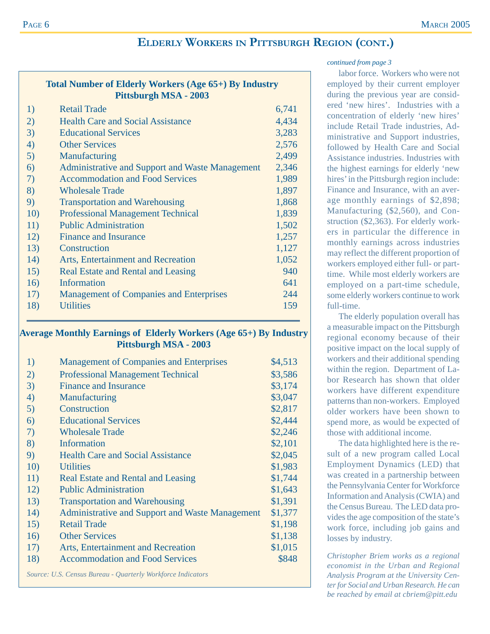### **ELDERLY WORKERS IN PITTSBURGH REGION (CONT.)**

| Total Number of Elderly Workers (Age 65+) By Industry<br>Pittsburgh MSA - 2003 |                                                        |       |  |  |  |
|--------------------------------------------------------------------------------|--------------------------------------------------------|-------|--|--|--|
| 1)                                                                             | <b>Retail Trade</b>                                    | 6,741 |  |  |  |
| 2)                                                                             | <b>Health Care and Social Assistance</b>               | 4,434 |  |  |  |
| 3)                                                                             | <b>Educational Services</b>                            | 3,283 |  |  |  |
| 4)                                                                             | <b>Other Services</b>                                  | 2,576 |  |  |  |
| 5)                                                                             | Manufacturing                                          | 2,499 |  |  |  |
| 6)                                                                             | <b>Administrative and Support and Waste Management</b> | 2,346 |  |  |  |
| 7)                                                                             | <b>Accommodation and Food Services</b>                 | 1,989 |  |  |  |
| 8)                                                                             | <b>Wholesale Trade</b>                                 | 1,897 |  |  |  |
| 9)                                                                             | <b>Transportation and Warehousing</b>                  | 1,868 |  |  |  |
| 10)                                                                            | <b>Professional Management Technical</b>               | 1,839 |  |  |  |
| 11)                                                                            | <b>Public Administration</b>                           | 1,502 |  |  |  |
| 12)                                                                            | <b>Finance and Insurance</b>                           | 1,257 |  |  |  |
| 13)                                                                            | Construction                                           | 1,127 |  |  |  |
| 14)                                                                            | Arts, Entertainment and Recreation                     | 1,052 |  |  |  |
| 15)                                                                            | <b>Real Estate and Rental and Leasing</b>              | 940   |  |  |  |
| 16)                                                                            | <b>Information</b>                                     | 641   |  |  |  |
| 17)                                                                            | <b>Management of Companies and Enterprises</b>         | 244   |  |  |  |
| 18)                                                                            | <b>Utilities</b>                                       | 159   |  |  |  |

#### **Average Monthly Earnings of Elderly Workers (Age 65+) By Industry Pittsburgh MSA - 2003**

| 1)  | <b>Management of Companies and Enterprises</b>              | \$4,513 |
|-----|-------------------------------------------------------------|---------|
| (2) | <b>Professional Management Technical</b>                    | \$3,586 |
| 3)  | <b>Finance and Insurance</b>                                | \$3,174 |
| 4)  | Manufacturing                                               | \$3,047 |
| 5)  | Construction                                                | \$2,817 |
| 6)  | <b>Educational Services</b>                                 | \$2,444 |
| 7)  | <b>Wholesale Trade</b>                                      | \$2,246 |
| 8)  | Information                                                 | \$2,101 |
| 9)  | <b>Health Care and Social Assistance</b>                    | \$2,045 |
| 10) | <b>Utilities</b>                                            | \$1,983 |
| 11) | <b>Real Estate and Rental and Leasing</b>                   | \$1,744 |
| 12) | <b>Public Administration</b>                                | \$1,643 |
| 13) | <b>Transportation and Warehousing</b>                       | \$1,391 |
| 14) | <b>Administrative and Support and Waste Management</b>      | \$1,377 |
| 15) | <b>Retail Trade</b>                                         | \$1,198 |
| 16) | <b>Other Services</b>                                       | \$1,138 |
| 17) | Arts, Entertainment and Recreation                          | \$1,015 |
| 18) | <b>Accommodation and Food Services</b>                      | \$848   |
|     | Source: U.S. Census Bureau - Quarterly Workforce Indicators |         |

#### *continued from page 3*

labor force. Workers who were not employed by their current employer during the previous year are considered 'new hires'. Industries with a concentration of elderly 'new hires' include Retail Trade industries, Administrative and Support industries, followed by Health Care and Social Assistance industries. Industries with the highest earnings for elderly 'new hires' in the Pittsburgh region include: Finance and Insurance, with an average monthly earnings of \$2,898; Manufacturing (\$2,560), and Construction (\$2,363). For elderly workers in particular the difference in monthly earnings across industries may reflect the different proportion of workers employed either full- or parttime. While most elderly workers are employed on a part-time schedule, some elderly workers continue to work full-time.

The elderly population overall has a measurable impact on the Pittsburgh regional economy because of their positive impact on the local supply of workers and their additional spending within the region. Department of Labor Research has shown that older workers have different expenditure patterns than non-workers. Employed older workers have been shown to spend more, as would be expected of those with additional income.

The data highlighted here is the result of a new program called Local Employment Dynamics (LED) that was created in a partnership between the Pennsylvania Center for Workforce Information and Analysis (CWIA) and the Census Bureau. The LED data provides the age composition of the state's work force, including job gains and losses by industry.

*Christopher Briem works as a regional economist in the Urban and Regional Analysis Program at the University Center for Social and Urban Research. He can be reached by email at cbriem@pitt.edu*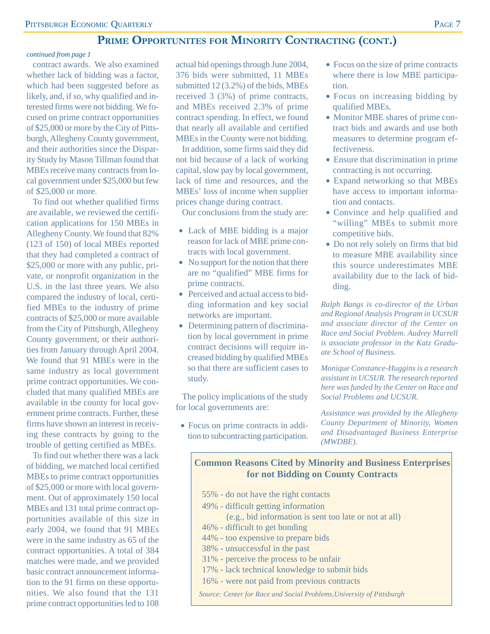## **PRIME OPPORTUNITES FOR MINORITY CONTRACTING (CONT.)**

#### *continued from page 1*

contract awards. We also examined whether lack of bidding was a factor, which had been suggested before as likely, and, if so, why qualified and interested firms were not bidding. We focused on prime contract opportunities of \$25,000 or more by the City of Pittsburgh, Allegheny County government, and their authorities since the Disparity Study by Mason Tillman found that MBEs receive many contracts from local government under \$25,000 but few of \$25,000 or more.

To find out whether qualified firms are available, we reviewed the certification applications for 150 MBEs in Allegheny County. We found that 82% (123 of 150) of local MBEs reported that they had completed a contract of \$25,000 or more with any public, private, or nonprofit organization in the U.S. in the last three years. We also compared the industry of local, certified MBEs to the industry of prime contracts of \$25,000 or more available from the City of Pittsburgh, Allegheny County government, or their authorities from January through April 2004. We found that 91 MBEs were in the same industry as local government prime contract opportunities. We concluded that many qualified MBEs are available in the county for local government prime contracts. Further, these firms have shown an interest in receiving these contracts by going to the trouble of getting certified as MBEs.

To find out whether there was a lack of bidding, we matched local certified MBEs to prime contract opportunities of \$25,000 or more with local government. Out of approximately 150 local MBEs and 131 total prime contract opportunities available of this size in early 2004, we found that 91 MBEs were in the same industry as 65 of the contract opportunities. A total of 384 matches were made, and we provided basic contract announcement information to the 91 firms on these opportunities. We also found that the 131 prime contract opportunities led to 108

actual bid openings through June 2004, 376 bids were submitted, 11 MBEs submitted 12 (3.2%) of the bids, MBEs received 3 (3%) of prime contracts, and MBEs received 2.3% of prime contract spending. In effect, we found that nearly all available and certified MBEs in the County were not bidding.

In addition, some firms said they did not bid because of a lack of working capital, slow pay by local government, lack of time and resources, and the MBEs' loss of income when supplier prices change during contract.

Our conclusions from the study are:

- Lack of MBE bidding is a major reason for lack of MBE prime contracts with local government.
- No support for the notion that there are no "qualified" MBE firms for prime contracts.
- Perceived and actual access to bidding information and key social networks are important.
- Determining pattern of discrimination by local government in prime contract decisions will require increased bidding by qualified MBEs so that there are sufficient cases to study.

The policy implications of the study for local governments are:

• Focus on prime contracts in addition to subcontracting participation.

- Focus on the size of prime contracts where there is low MBE participation.
- Focus on increasing bidding by qualified MBEs.
- Monitor MBE shares of prime contract bids and awards and use both measures to determine program effectiveness.
- Ensure that discrimination in prime contracting is not occurring.
- Expand networking so that MBEs have access to important information and contacts.
- Convince and help qualified and "willing" MBEs to submit more competitive bids.
- Do not rely solely on firms that bid to measure MBE availability since this source underestimates MBE availability due to the lack of bidding.

*Ralph Bangs is co-director of the Urban and Regional Analysis Program in UCSUR and associate director of the Center on Race and Social Problem. Audrey Murrell is associate professor in the Katz Graduate School of Business.*

*Monique Constance-Huggins is a research assistant in UCSUR. The research reported here was funded by the Center on Race and Social Problems and UCSUR.*

*Assistance was provided by the Allegheny County Department of Minority, Women and Disadvantaged Business Enterprise (MWDBE).*

#### **Common Reasons Cited by Minority and Business Enterprises for not Bidding on County Contracts**

55% - do not have the right contacts 49% - difficult getting information (e.g., bid information is sent too late or not at all) 46% - difficult to get bonding 44% - too expensive to prepare bids 38% - unsuccessful in the past 31% - perceive the process to be unfair 17% - lack technical knowledge to submit bids 16% - were not paid from previous contracts *Source: Center for Race and Social Problems,University of Pittsburgh*